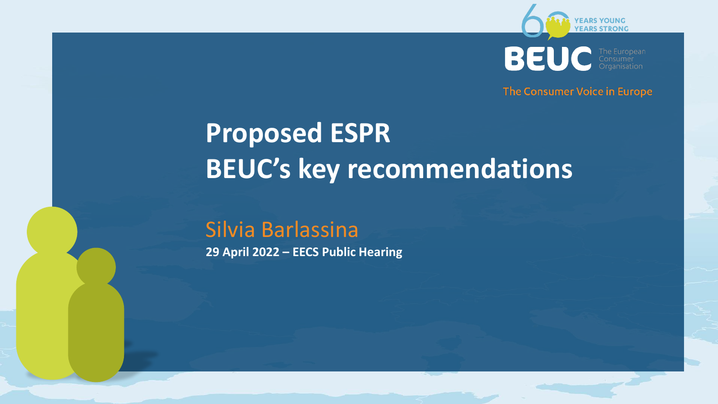

BEL

The Consumer Voice in Europe

# **Proposed ESPR BEUC's key recommendations**

# Silvia Barlassina

**29 April 2022 – EECS Public Hearing**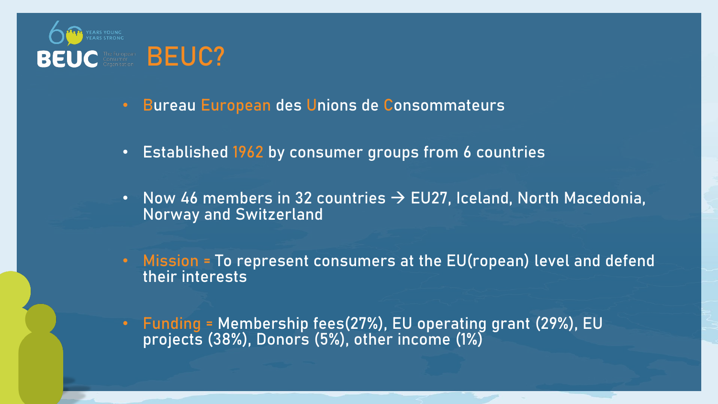

- **Bureau European des Unions de Consommateurs**
- **Established 1962 by consumer groups from 6 countries**
- **Now 46 members in 32 countries** → **EU27, Iceland, North Macedonia, Norway and Switzerland**
- **Mission = To represent consumers at the EU(ropean) level and defend their interests**
- **Funding = Membership fees(27%), EU operating grant (29%), EU projects (38%), Donors (5%), other income (1%)**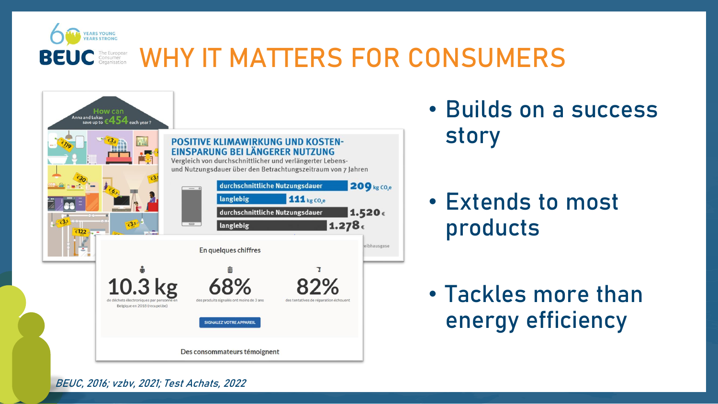

### **BEUC ERRICH STRANGER WHY IT MATTERS FOR CONSUMERS**



• **Builds on a success story**

• **Extends to most products**

• **Tackles more than energy efficiency** 

**BEUC, 2016; vzbv, 2021; Test Achats, 2022**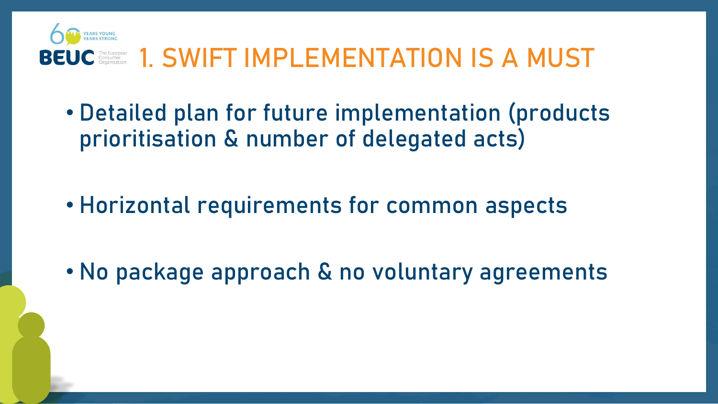

# **BEUC** CORRECTED **1. SWIFT IMPLEMENTATION IS A MUST**

- **Detailed plan for future implementation (products prioritisation & number of delegated acts)**
- **Horizontal requirements for common aspects**
- **No package approach & no voluntary agreements**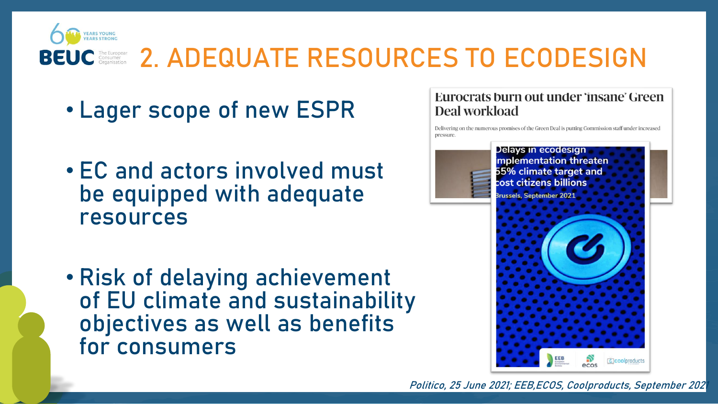

## **2. ADEQUATE RESOURCES TO ECODESIGN**

- **Lager scope of new ESPR**
- **EC and actors involved must be equipped with adequate resources**
- **Risk of delaying achievement of EU climate and sustainability objectives as well as benefits for consumers**

#### Eurocrats burn out under 'insane' Green Deal workload

Delivering on the numerous promises of the Green Deal is putting Commission staff under increased



**Politico, 25 June 2021; EEB,ECOS, Coolproducts, September 2021**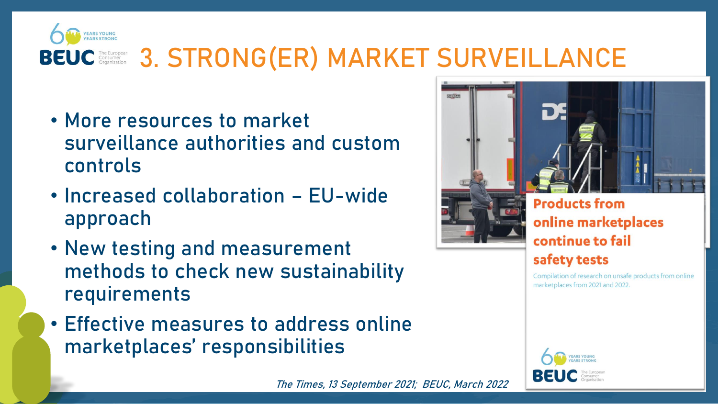

## **BEUC** ERRONG(ER) MARKET SURVEILLANCE

- **More resources to market surveillance authorities and custom controls**
- **Increased collaboration – EU-wide approach**
- **New testing and measurement methods to check new sustainability requirements**
- **Effective measures to address online marketplaces' responsibilities**



#### **Products from** online marketplaces continue to fail safety tests

Compilation of research on unsafe products from online marketplaces from 2021 and 2022.